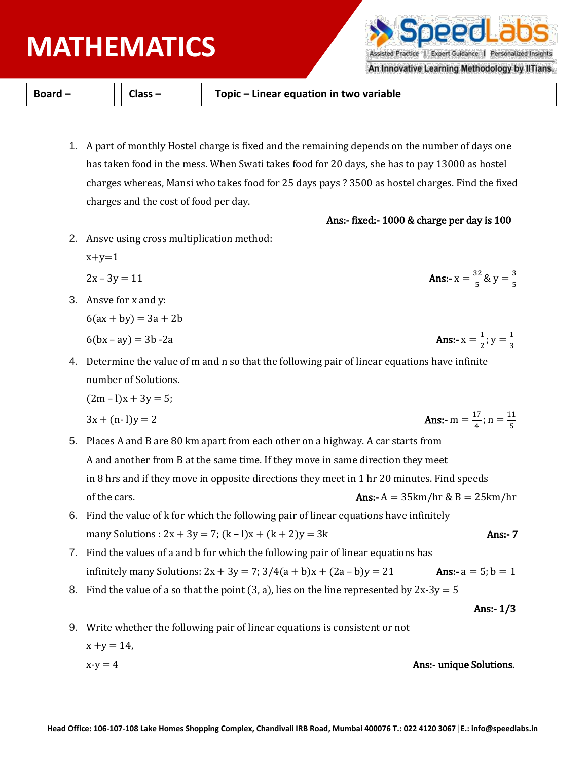## **PHYSICS MATHEMATICS**

**Board – Class – Topic – Linear equation in two variable**

- 1. A part of monthly Hostel charge is fixed and the remaining depends on the number of days one has taken food in the mess. When Swati takes food for 20 days, she has to pay 13000 as hostel charges whereas, Mansi who takes food for 25 days pays ? 3500 as hostel charges. Find the fixed charges and the cost of food per day.
- 2. Ansve using cross multiplication method:

 $x+y=1$ 

$$
2x - 3y = 11
$$
 Ans:  $x = \frac{32}{5}$ 

3. Ansve for x and y:

 $6(ax + by) = 3a + 2b$ 

 $6(bx - av) = 3b - 2a$ 

4. Determine the value of m and n so that the following pair of linear equations have infinite number of Solutions.

$$
(2m-1)x + 3y = 5;
$$

$$
3x + (n-1)y = 2
$$
 Ans:  $-m = \frac{17}{4}$ 

- 5. Places A and B are 80 km apart from each other on a highway. A car starts from A and another from B at the same time. If they move in same direction they meet in 8 hrs and if they move in opposite directions they meet in 1 hr 20 minutes. Find speeds of the cars.  $\Delta t = 35 \text{km/hr} \& B = 25 \text{km/hr}$
- 6. Find the value of k for which the following pair of linear equations have infinitely many Solutions :  $2x + 3y = 7$ ;  $(k - 1)x + (k + 2)y = 3k$  Ans:- 7
- 7. Find the values of a and b for which the following pair of linear equations has infinitely many Solutions:  $2x + 3y = 7$ ;  $3/4(a + b)x + (2a - b)y = 21$  **Ans:**  $-a = 5$ ;  $b = 1$
- 8. Find the value of a so that the point (3, a), lies on the line represented by  $2x-3y = 5$

Ans:- 1/3

- 9. Write whether the following pair of linear equations is consistent or not  $x + y = 14$ ,
	- $x-y = 4$  Ans:- unique Solutions.



An Innovative Learning Methodology by IITians.

$$
f_{\rm{max}}
$$

 $\frac{32}{5}$ & y =  $\frac{3}{5}$ 

5

Ans:- fixed:- 1000 & charge per day is 100

**Ans:** 
$$
x = \frac{1}{2}
$$
;  $y = \frac{1}{3}$ 

$$
\Delta_{\text{max}} = 7
$$

$$
f_{\rm{max}}
$$

 $\frac{17}{4}$ ; n =  $\frac{11}{5}$ 5